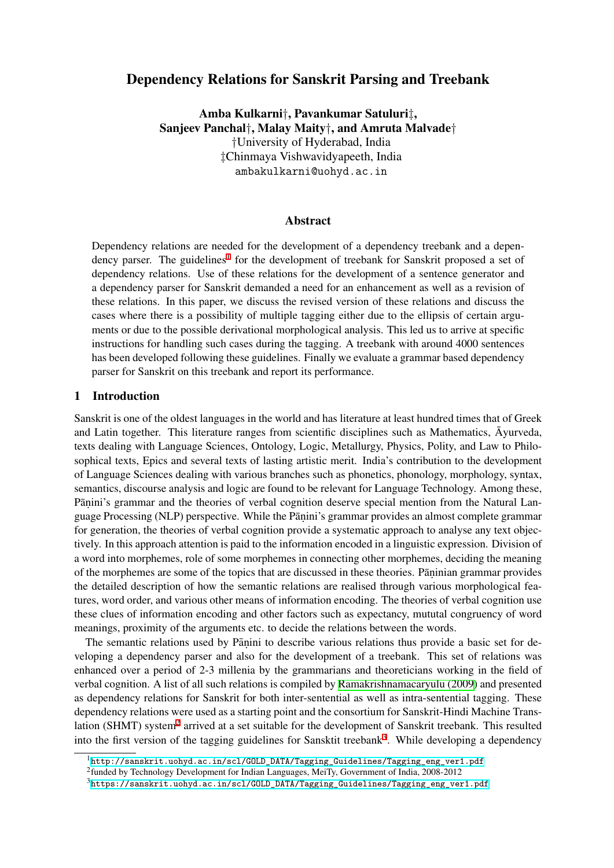# Dependency Relations for Sanskrit Parsing and Treebank

Amba Kulkarni*†*, Pavankumar Satuluri*‡*, Sanjeev Panchal*†*, Malay Maity*†*, and Amruta Malvade*†*

*†*University of Hyderabad, India *‡*Chinmaya Vishwavidyapeeth, India ambakulkarni@uohyd.ac.in

### Abstract

Dependency relations are needed for the development of a dependency treebank and a dependency parser. The guidelines<sup>1</sup> for the development of treebank for Sanskrit proposed a set of dependency relations. Use of these relations for the development of a sentence generator and a dependency parser for Sanskrit demanded a need for an enhancement as well as a revision of these relations. In this paper, we discuss the revised version of these relations and discuss the cases where there is a possibility of multiple tagging either due to the ellipsis of certain arguments or due to the possible derivational morphological analysis. This led us to arrive at specific instructions for handling such cases during the tagging. A treebank with around 4000 sentences has been developed following these guidelines. Finally we evaluate a grammar based dependency parser for Sanskrit on this treebank and report its performance.

#### 1 Introduction

Sanskrit is one of the oldest languages in the world and has literature at least hundred times that of Greek and Latin together. This literature ranges from scientific disciplines such as Mathematics,  $\overline{A}$ yurveda, texts dealing with Language Sciences, Ontology, Logic, Metallurgy, Physics, Polity, and Law to Philosophical texts, Epics and several texts of lasting artistic merit. India's contribution to the development of Language Sciences dealing with various branches such as phonetics, phonology, morphology, syntax, semantics, discourse analysis and logic are found to be relevant for Language Technology. Among these, Pāṇini's grammar and the theories of verbal cognition deserve special mention from the Natural Language Processing (NLP) perspective. While the Pāṇini's grammar provides an almost complete grammar for generation, the theories of verbal cognition provide a systematic approach to analyse any text objectively. In this approach attention is paid to the information encoded in a linguistic expression. Division of a word into morphemes, role of some morphemes in connecting other morphemes, deciding the meaning of the morphemes are some of the topics that are discussed in these theories. Paninian grammar provides the detailed description of how the semantic relations are realised through various morphological features, word order, and various other means of information encoding. The theories of verbal cognition use these clues of information encoding and other factors such as expectancy, mututal congruency of word meanings, proximity of the arguments etc. to decide the relations between the words.

The semantic relations used by Pāṇini to describe various relations thus provide a basic set for developing a dependency parser and also for the development of a treebank. This set of relations was enhanced over a period of 2-3 millenia by the grammarians and theoreticians working in the field of verbal cognition. A list of all such relations is compiled by Ramakrishnamacaryulu (2009) and presented as dependency relations for Sanskrit for both inter-sentential as well as intra-sentential tagging. These dependency relations were used as a starting point and the consortium for Sanskrit-Hindi Machine Translation (SHMT) system<sup>2</sup> arrived at a set suitable for the development of Sanskrit treebank. This resulted into the first version of the tagging guidelines for Sansktit treebank<sup>3</sup>[. While developing](#page-13-0) a dependency

<sup>1</sup>http://sanskrit.uohyd.ac.in/scl/GOLD\_DATA/Tagging\_Guidelines/Tagging\_eng\_ver1.pdf

<sup>&</sup>lt;sup>2</sup>funded by Technology [D](#page-0-1)evelopment for Indian Languages, MeiTy, Government of India, 2008-2012

<span id="page-0-2"></span><span id="page-0-1"></span><span id="page-0-0"></span><sup>3</sup>https://sanskrit.uohyd.ac.in/scl/GOLD\_DATA/Tagging\_Guideline[s](#page-0-2)/Tagging\_eng\_ver1.pdf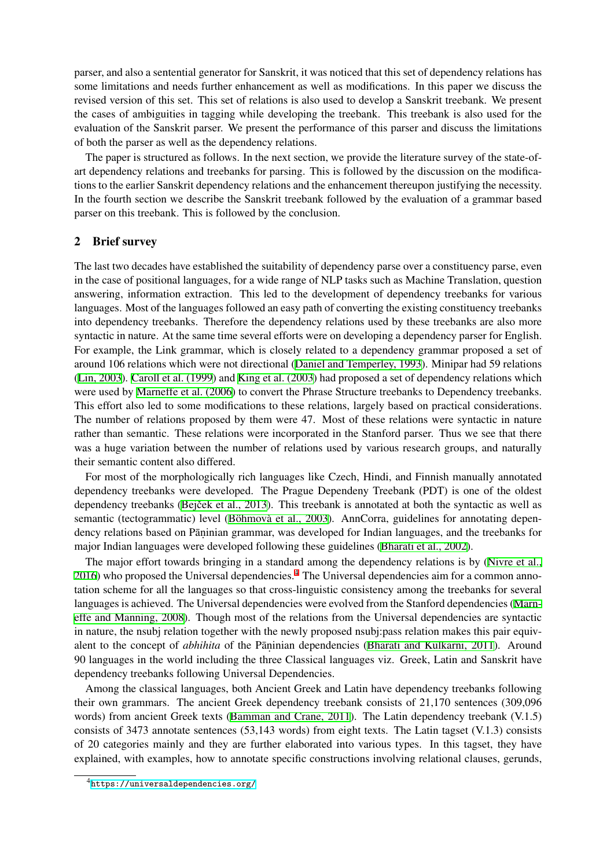parser, and also a sentential generator for Sanskrit, it was noticed that this set of dependency relations has some limitations and needs further enhancement as well as modifications. In this paper we discuss the revised version of this set. This set of relations is also used to develop a Sanskrit treebank. We present the cases of ambiguities in tagging while developing the treebank. This treebank is also used for the evaluation of the Sanskrit parser. We present the performance of this parser and discuss the limitations of both the parser as well as the dependency relations.

The paper is structured as follows. In the next section, we provide the literature survey of the state-ofart dependency relations and treebanks for parsing. This is followed by the discussion on the modifications to the earlier Sanskrit dependency relations and the enhancement thereupon justifying the necessity. In the fourth section we describe the Sanskrit treebank followed by the evaluation of a grammar based parser on this treebank. This is followed by the conclusion.

### 2 Brief survey

The last two decades have established the suitability of dependency parse over a constituency parse, even in the case of positional languages, for a wide range of NLP tasks such as Machine Translation, question answering, information extraction. This led to the development of dependency treebanks for various languages. Most of the languages followed an easy path of converting the existing constituency treebanks into dependency treebanks. Therefore the dependency relations used by these treebanks are also more syntactic in nature. At the same time several efforts were on developing a dependency parser for English. For example, the Link grammar, which is closely related to a dependency grammar proposed a set of around 106 relations which were not directional (Daniel and Temperley, 1993). Minipar had 59 relations (Lin, 2003). Caroll et al. (1999) and King et al. (2003) had proposed a set of dependency relations which were used by Marneffe et al. (2006) to convert the Phrase Structure treebanks to Dependency treebanks. This effort also led to some modifications to these relations, largely based on practical considerations. The number of relations proposed by them wer[e 47. Most of these relation](#page-11-0)s were syntactic in nature r[ather than](#page-12-0) s[emantic. These re](#page-11-1)latio[ns were incorpora](#page-12-1)ted in the Stanford parser. Thus we see that there was a huge v[ariation between the](#page-12-2) number of relations used by various research groups, and naturally their semantic content also differed.

For most of the morphologically rich languages like Czech, Hindi, and Finnish manually annotated dependency treebanks were developed. The Prague Dependeny Treebank (PDT) is one of the oldest dependency treebanks (Bejček et al., 2013). This treebank is annotated at both the syntactic as well as semantic (tectogrammatic) level (Böhmovà et al., 2003). AnnCorra, guidelines for annotating dependency relations based on Pāṇinian grammar, was developed for Indian languages, and the treebanks for major Indian languages were developed following these guidelines (Bharati et al., 2002).

The major effort tow[ards bringing in a s](#page-10-0)tandard among the dependency relations is by (Nivre et al., 2016) who proposed the Universa[l dependencies.](#page-11-2)<sup>4</sup> The Universal dependencies aim for a common annotation scheme for all the languages so that cross-linguistic consistency among the treebanks for several languages is achieved. The Universal dependencies were evolved fro[m the Stanford depe](#page-11-3)ndencies (Marneffe and Manning, 2008). Though most of the r[el](#page-1-0)ations from the Universal dependencies [are syntactic](#page-12-3) [in nat](#page-12-3)ure, the nsubj relation together with the newly proposed nsubj:pass relation makes this pair equivalent to the concept of *abhihita* of the Pāṇinian dependencies (Bharati and Kulkarni, 2011). Around 90 languages in the world including the three Classical languages viz. Greek, Latin and Sanskr[it have](#page-12-4) [dependency treebanks fo](#page-12-4)llowing Universal Dependencies.

Among the classical languages, both Ancient Greek and Latin have dependency treebanks following their own grammars. The ancient Greek dependency treebank [consists of 21,170 sentences](#page-10-1) (309,096 words) from ancient Greek texts (Bamman and Crane, 2011). The Latin dependency treebank (V.1.5) consists of 3473 annotate sentences (53,143 words) from eight texts. The Latin tagset (V.1.3) consists of 20 categories mainly and they are further elaborated into various types. In this tagset, they have explained, with examples, how to [annotate specific construct](#page-10-2)ions involving relational clauses, gerunds,

<span id="page-1-0"></span><sup>4</sup>https://universaldependencies.org/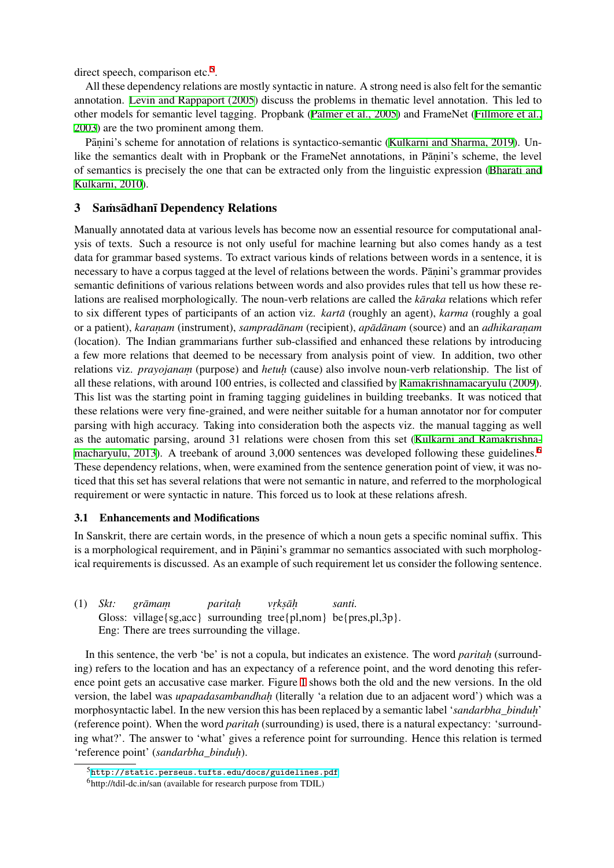direct speech, comparison etc.<sup>5</sup>.

All these dependency relations are mostly syntactic in nature. A strong need is also felt for the semantic annotation. Levin and Rappaport (2005) discuss the problems in thematic level annotation. This led to other models for semantic lev[el](#page-2-0) tagging. Propbank (Palmer et al., 2005) and FrameNet (Fillmore et al., 2003) are the two prominent among them.

Pāṇini's scheme for annotation of relations is syntactico-semantic (Kulkarni and Sharma, 2019). Unlike the se[mantics dealt with in Propba](#page-12-5)nk or the FrameNet annotations, in Pānini's scheme, the level of semantics is precisely the one that can be extract[ed only from the lin](#page-12-6)guistic expressi[on \(Bharati and](#page-11-4) [Kulka](#page-11-4)rni, 2010).

### 3 Samsadhan Dependency Relations

[Manually annot](#page-10-3)ated data at various levels has become now an essential resource for comput[ational anal](#page-10-3)ysis of texts. Such a resource is not only useful for machine learning but also comes handy as a test data for grammar based systems. To extract various kinds of relations between words in a sentence, it is necessary to have a corpus tagged at the level of relations between the words. Pāṇini's grammar provides semantic definitions of various relations between words and also provides rules that tell us how these relations are realised morphologically. The noun-verb relations are called the *karaka* relations which refer to six different types of participants of an action viz. *karta* (roughly an agent), *karma* (roughly a goal or a patient), *karanam* (instrument), *sampradānam* (recipient), *apādānam* (source) and an *adhikaranam* (location). The Indian grammarians further sub-classified and enhanced these relations by introducing a few more relations that deemed to be necessary from analysis point of view. In addition, two other relations viz. *prayojanam* (purpose) and *hetuh* (cause) also involve noun-verb relationship. The list of all these relations, with around 100 entries, is collected and classified by Ramakrishnamacaryulu (2009). This list was the starting point in framing tagging guidelines in building treebanks. It was noticed that these relations were very fine-grained, and were neither suitable for a human annotator nor for computer parsing with high accuracy. Taking into consideration both the aspects viz. the manual tagging as well as the automatic parsing, around 31 relations were chosen from this s[et \(Kulkarni and Ramakrishna](#page-13-0)macharyulu, 2013). A treebank of around 3,000 sentences was developed following these guidelines.<sup>6</sup> These dependency relations, when, were examined from the sentence generation point of view, it was noticed that this set has several relations that were not semantic in nature, and referred to the morphological [requirement or wer](#page-12-7)e syntactic in nature. This forced us to look at these rela[tions afresh.](#page-12-7)

#### 3.1 Enhancements and Modifications

In Sanskrit, there are certain words, in the presence of which a noun gets a specific nominal suffix. This is a morphological requirement, and in Pāṇini's grammar no semantics associated with such morphological requirements is discussed. As an example of such requirement let us consider the following sentence.

(1) *Skt:* Gloss: village{sg,acc} surrounding tree{pl,nom} be{pres,pl,3p}.  $gr\bar{a}$  *mam paritah. vr. ks. ah¯. santi.* Eng: There are trees surrounding the village.

In this sentence, the verb 'be' is not a copula, but indicates an existence. The word *paritah* (surrounding) refers to the location and has an expectancy of a reference point, and the word denoting this reference point gets an accusative case marker. Figure 1 shows both the old and the new versions. In the old version, the label was *upapadasambandhah* (literally 'a relation due to an adjacent word') which was a morphosyntactic label. In the new version this has been replaced by a semantic label '*sandarbha\_binduh.* ' (reference point). When the word *paritah* (surrounding) is used, there is a natural expectancy: 'surrounding what?'. The answer to 'what' gives a referenc[e](#page-3-0) point for surrounding. Hence this relation is termed 'reference point' (*sandarbha\_binduh.* ).

<sup>5</sup>http://static.perseus.tufts.edu/docs/guidelines.pdf

<span id="page-2-0"></span><sup>6</sup>http://tdil-dc.in/san (available for research purpose from TDIL)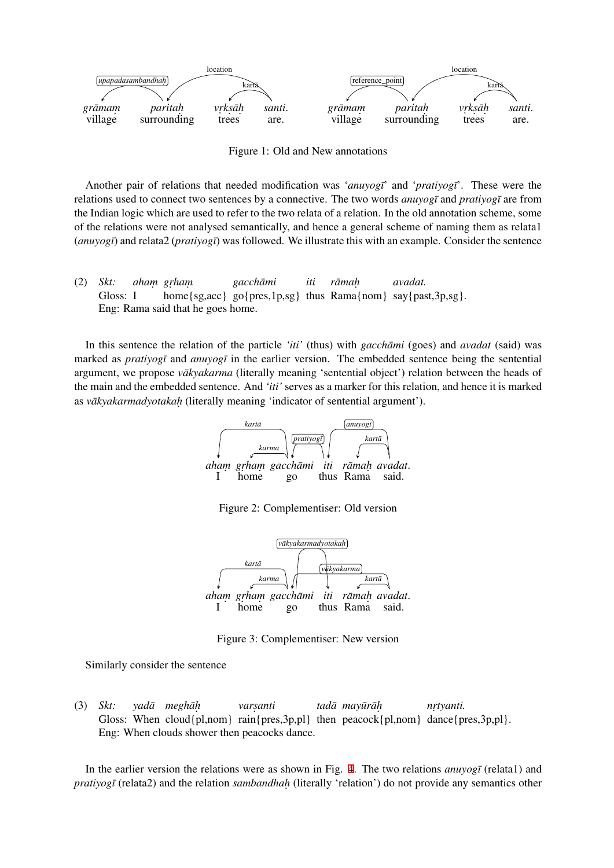

<span id="page-3-0"></span>Figure 1: Old and New annotations

Another pair of relations that needed modification was '*anuyogi*' and '*pratiyogi*'. These were the relations used to connect two sentences by a connective. The two words *anuyog¯ı* and *pratiyog¯ı* are from the Indian logic which are used to refer to the two relata of a relation. In the old annotation scheme, some of the relations were not analysed semantically, and hence a general scheme of naming them as relata1 (*anuyog¯ı*) and relata2 (*pratiyog¯ı*) was followed. We illustrate this with an example. Consider the sentence

(2) *Skt:* Gloss: I *aham. gr. ham.* home{sg,acc} go{pres,1p,sg} thus Rama{nom} say{past,3p,sg}. *gacchami ¯ iti ramah ¯ . avadat.* Eng: Rama said that he goes home.

In this sentence the relation of the particle *'iti'* (thus) with *gacchami* (goes) and *avadat* (said) was marked as *pratiyogī* and *anuyogī* in the earlier version. The embedded sentence being the sentential argument, we propose *vakyakarma* (literally meaning 'sentential object') relation between the heads of the main and the embedded sentence. And *'iti'* serves as a marker for this relation, and hence it is marked as *vākyakarmadyotakaḥ* (literally meaning 'indicator of sentential argument').



Figure 2: Complementiser: Old version



Figure 3: Complementiser: New version

Similarly consider the sentence

(3) *Skt:* Gloss: When cloud{pl,nom} rain{pres,3p,pl} then peacock{pl,nom} dance{pres,3p,pl}. *yada¯ meghah¯. vars. anti tada¯ mayur¯ ah¯. nr. tyanti.* Eng: When clouds shower then peacocks dance.

In the earlier version the relations were as shown in Fig. 4. The two relations *anuyogī* (relata1) and *pratiyogī* (relata2) and the relation *sambandhah* (literally 'relation') do not provide any semantics other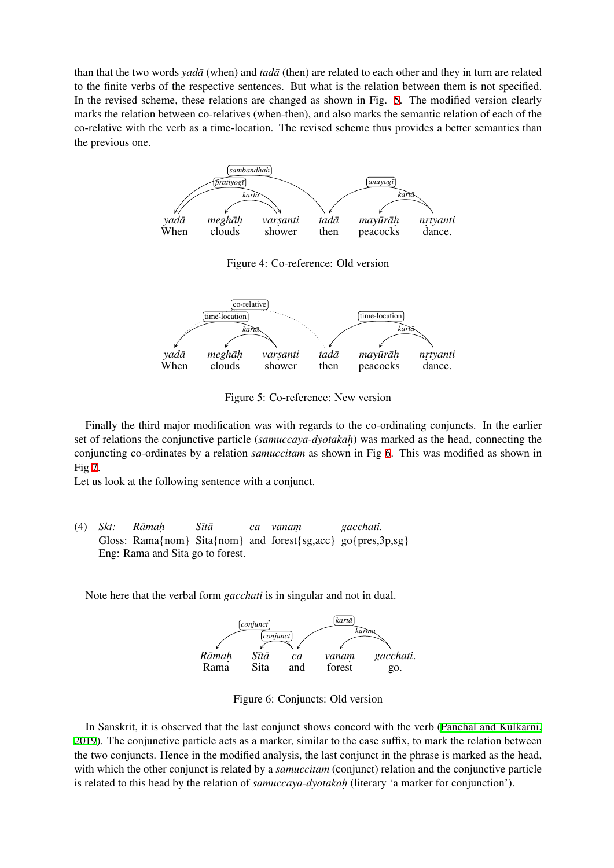than that the two words *yadā* (when) and *tadā* (then) are related to each other and they in turn are related to the finite verbs of the respective sentences. But what is the relation between them is not specified. In the revised scheme, these relations are changed as shown in Fig. 5. The modified version clearly marks the relation between co-relatives (when-then), and also marks the semantic relation of each of the co-relative with the verb as a time-location. The revised scheme thus provides a better semantics than the previous one.



Figure 5: Co-reference: New version

Finally the third major modification was with regards to the co-ordinating conjuncts. In the earlier set of relations the conjunctive particle (*samuccaya-dyotakah*) was marked as the head, connecting the conjuncting co-ordinates by a relation *samuccitam* as shown in Fig 6. This was modified as shown in Fig 7.

Let us look at the following sentence with a conjunct.

(4) *Skt:* Gloss: Rama{nom} Sita{nom} and forest{sg,acc} go{pres,3p,sg} *Ramah ¯ . S¯ıta¯ ca vanam. gacchati.* Eng: Rama and Sita go to forest.

Note here that the verbal form *gacchati* is in singular and not in dual.



Figure 6: Conjuncts: Old version

In Sanskrit, it is observed that the last conjunct shows concord with the verb (Panchal and Kulkarni, 2019). The conjunctive particle acts as a marker, similar to the case suffix, to mark the relation between the two conjuncts. Hence in the modified analysis, the last conjunct in the phrase is marked as the head, with which the other conjunct is related by a *samuccitam* (conjunct) relation and the conjunctive particle [is rela](#page-12-8)ted to this head by the relation of *samuccaya-dyotakah.* (literary 'a marker f[or conjunction'\).](#page-12-8)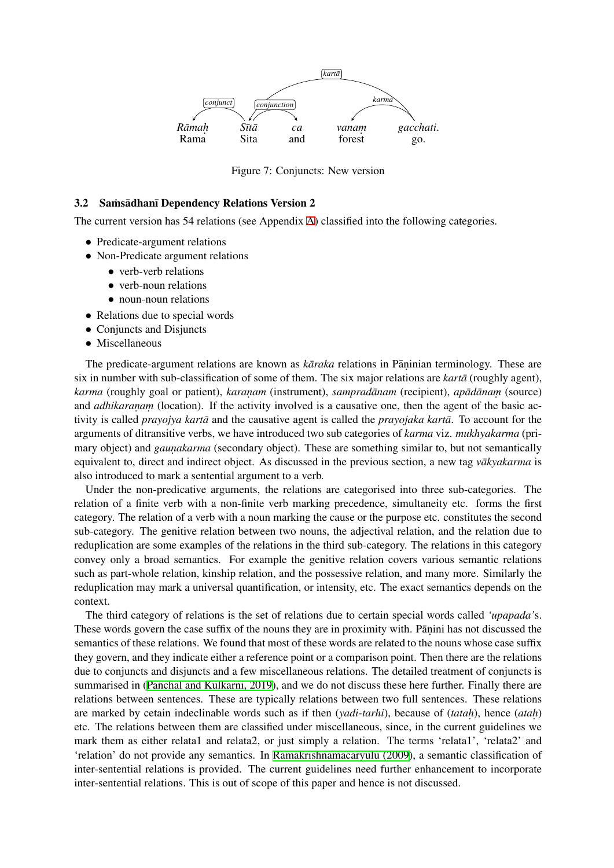

Figure 7: Conjuncts: New version

#### 3.2 Samsadhan Dependency Relations Version 2

The current version has 54 relations (see Appendix A) classified into the following categories.

- Predicate-argument relations
- *•* Non-Predicate argument relations
	- verb-verb relations
	- verb-noun relations
	- noun-noun relations
- *•* Relations due to special words
- *•* Conjuncts and Disjuncts
- *•* Miscellaneous

The predicate-argument relations are known as *kāraka* relations in Pāṇinian terminology. These are six in number with sub-classification of some of them. The six major relations are *karta* (roughly agent), *karma* (roughly goal or patient), *karaṇam* (instrument), *sampradānam* (recipient), *apādānaṃ* (source) and *adhikaranam* (location). If the activity involved is a causative one, then the agent of the basic activity is called *prayojya kartā* and the causative agent is called the *prayojaka kartā*. To account for the arguments of ditransitive verbs, we have introduced two sub categories of *karma* viz. *mukhyakarma* (primary object) and *gaunakarma* (secondary object). These are something similar to, but not semantically equivalent to, direct and indirect object. As discussed in the previous section, a new tag *vakyakarma* is also introduced to mark a sentential argument to a verb.

Under the non-predicative arguments, the relations are categorised into three sub-categories. The relation of a finite verb with a non-finite verb marking precedence, simultaneity etc. forms the first category. The relation of a verb with a noun marking the cause or the purpose etc. constitutes the second sub-category. The genitive relation between two nouns, the adjectival relation, and the relation due to reduplication are some examples of the relations in the third sub-category. The relations in this category convey only a broad semantics. For example the genitive relation covers various semantic relations such as part-whole relation, kinship relation, and the possessive relation, and many more. Similarly the reduplication may mark a universal quantification, or intensity, etc. The exact semantics depends on the context.

The third category of relations is the set of relations due to certain special words called *'upapada'*s. These words govern the case suffix of the nouns they are in proximity with. Pāṇini has not discussed the semantics of these relations. We found that most of these words are related to the nouns whose case suffix they govern, and they indicate either a reference point or a comparison point. Then there are the relations due to conjuncts and disjuncts and a few miscellaneous relations. The detailed treatment of conjuncts is summarised in (Panchal and Kulkarni, 2019), and we do not discuss these here further. Finally there are relations between sentences. These are typically relations between two full sentences. These relations are marked by cetain indeclinable words such as if then (*yadi-tarhi*), because of (*tatah*), hence (*atah*) etc. The relations between them are classified under miscellaneous, since, in the current guidelines we mark them as [either relata1 and relata2, or](#page-12-8) just simply a relation. The terms 'relata1', 'relata2' and 'relation' do not provide any semantics. In Ramakrishnamacaryulu (2009), a semantic classification of inter-sentential relations is provided. The current guidelines need further enhancement to incorporate inter-sentential relations. This is out of scope of this paper and hence is not discussed.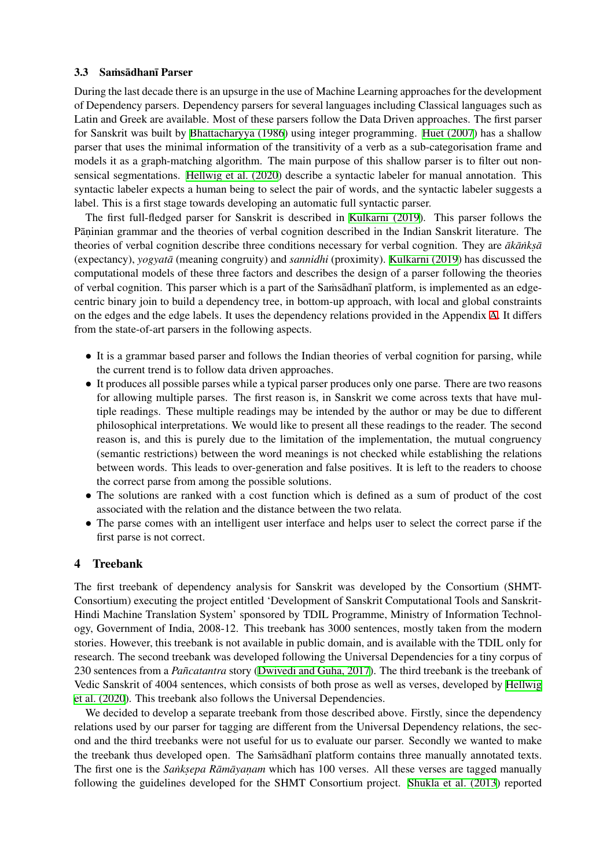### 3.3 Samsādhanī Parser

During the last decade there is an upsurge in the use of Machine Learning approaches for the development of Dependency parsers. Dependency parsers for several languages including Classical languages such as Latin and Greek are available. Most of these parsers follow the Data Driven approaches. The first parser for Sanskrit was built by Bhattacharyya (1986) using integer programming. Huet (2007) has a shallow parser that uses the minimal information of the transitivity of a verb as a sub-categorisation frame and models it as a graph-matching algorithm. The main purpose of this shallow parser is to filter out nonsensical segmentations. Hellwig et al. (2020) describe a syntactic labeler for manual annotation. This syntactic labeler expects [a human being to sele](#page-11-5)ct the pair of words, and the [syntactic lab](#page-11-6)eler suggests a label. This is a first stage towards developing an automatic full syntactic parser.

The first full-fledged parser for Sanskrit is described in Kulkarni (2019). This parser follows the Pāṇinian grammar and t[he theories of verbal](#page-11-7) cognition described in the Indian Sanskrit literature. The theories of verbal cognition describe three conditions necessary for verbal cognition. They are  $\bar{a}k\bar{a}nks\bar{a}$ (expectancy), *yogyata¯* (meaning congruity) and *sannidhi* (proximity). Kulkarni (2019) has discussed the computational models of these three factors and describes t[he design of a pa](#page-12-9)rser following the theories of verbal cognition. This parser which is a part of the Samsadhan  $\eta$  platform, is implemented as an edgecentric binary join to build a dependency tree, in bottom-up approach, with local and global constraints on the edges and the edge labels. It uses the dependency relations pro[vided in the App](#page-12-9)endix A. It differs from the state-of-art parsers in the following aspects.

- It is a grammar based parser and follows the Indian theories of verbal cognition for parsing, while the current trend is to follow data driven approaches.
- It produces all possible parses while a typical parser produces only one parse. There are two reasons for allowing multiple parses. The first reason is, in Sanskrit we come across texts that have multiple readings. These multiple readings may be intended by the author or may be due to different philosophical interpretations. We would like to present all these readings to the reader. The second reason is, and this is purely due to the limitation of the implementation, the mutual congruency (semantic restrictions) between the word meanings is not checked while establishing the relations between words. This leads to over-generation and false positives. It is left to the readers to choose the correct parse from among the possible solutions.
- The solutions are ranked with a cost function which is defined as a sum of product of the cost associated with the relation and the distance between the two relata.
- The parse comes with an intelligent user interface and helps user to select the correct parse if the first parse is not correct.

## 4 Treebank

The first treebank of dependency analysis for Sanskrit was developed by the Consortium (SHMT-Consortium) executing the project entitled 'Development of Sanskrit Computational Tools and Sanskrit-Hindi Machine Translation System' sponsored by TDIL Programme, Ministry of Information Technology, Government of India, 2008-12. This treebank has 3000 sentences, mostly taken from the modern stories. However, this treebank is not available in public domain, and is available with the TDIL only for research. The second treebank was developed following the Universal Dependencies for a tiny corpus of 230 sentences from a *Pañcatantra* story (Dwivedi and Guha, 2017). The third treebank is the treebank of Vedic Sanskrit of 4004 sentences, which consists of both prose as well as verses, developed by Hellwig et al. (2020). This treebank also follows the Universal Dependencies.

We decided to develop a separate treebank from those described above. Firstly, since the dependency relations used by our parser for tagging [are different from the Un](#page-11-8)iversal Dependency relations, the second and the third treebanks were not useful for us to evaluate our parser. Secondly we wanted [to make](#page-11-7) [the treebank](#page-11-7) thus developed open. The Samsadhan  $\bar{p}$  platform contains three manually annotated texts. The first one is the *Sanksepa Rāmāyaṇam* which has 100 verses. All these verses are tagged manually following the guidelines developed for the SHMT Consortium project. Shukla et al. (2013) reported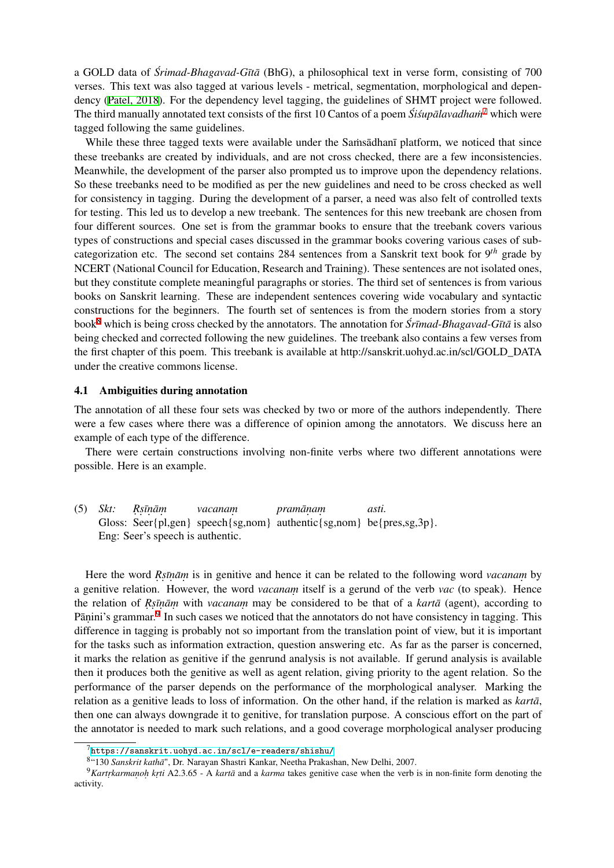a GOLD data of *Śrimad-Bhagavad-Gītā* (BhG), a philosophical text in verse form, consisting of 700 verses. This text was also tagged at various levels - metrical, segmentation, morphological and dependency (Patel, 2018). For the dependency level tagging, the guidelines of SHMT project were followed. The third manually annotated text consists of the first 10 Cantos of a poem *Śiśupālavadham*<sup>7</sup> which were tagged following the same guidelines.

While these three tagged texts were available under the Samsadhan platform, we noticed that since these tr[eebanks are](#page-13-1) created by individuals, and are not cross checked, there are a few in[co](#page-7-0)nsistencies. Meanwhile, the development of the parser also prompted us to improve upon the dependency relations. So these treebanks need to be modified as per the new guidelines and need to be cross checked as well for consistency in tagging. During the development of a parser, a need was also felt of controlled texts for testing. This led us to develop a new treebank. The sentences for this new treebank are chosen from four different sources. One set is from the grammar books to ensure that the treebank covers various types of constructions and special cases discussed in the grammar books covering various cases of subcategorization etc. The second set contains 284 sentences from a Sanskrit text book for 9 *th* grade by NCERT (National Council for Education, Research and Training). These sentences are not isolated ones, but they constitute complete meaningful paragraphs or stories. The third set of sentences is from various books on Sanskrit learning. These are independent sentences covering wide vocabulary and syntactic constructions for the beginners. The fourth set of sentences is from the modern stories from a story book<sup>8</sup> which is being cross checked by the annotators. The annotation for  $\acute{S}r\bar{v}$ *nad-Bhagavad-Gītā* is also being checked and corrected following the new guidelines. The treebank also contains a few verses from the first chapter of this poem. This treebank is available at http://sanskrit.uohyd.ac.in/scl/GOLD\_DATA unde[r](#page-7-1) the creative commons license.

#### 4.1 Ambiguities during annotation

The annotation of all these four sets was checked by two or more of the authors independently. There were a few cases where there was a difference of opinion among the annotators. We discuss here an example of each type of the difference.

There were certain constructions involving non-finite verbs where two different annotations were possible. Here is an example.

(5) *Skt:* Gloss: Seer{pl,gen} speech{sg,nom} authentic{sg,nom} be{pres,sg,3p}. *R. s. ¯ın. am¯ . vacanam. praman¯. am. asti.* Eng: Seer's speech is authentic.

Here the word *R*<sub>s</sub>*inam* is in genitive and hence it can be related to the following word *vacanam* by a genitive relation. However, the word *vacanam.* itself is a gerund of the verb *vac* (to speak). Hence the relation of *R*<sub>s</sub>*inam* with *vacanam* may be considered to be that of a *karta* (agent), according to Pāṇini's grammar.<sup>9</sup> In such cases we noticed that the annotators do not have consistency in tagging. This difference in tagging is probably not so important from the translation point of view, but it is important for the tasks such as information extraction, question answering etc. As far as the parser is concerned, it marks the relati[o](#page-7-2)n as genitive if the genrund analysis is not available. If gerund analysis is available then it produces both the genitive as well as agent relation, giving priority to the agent relation. So the performance of the parser depends on the performance of the morphological analyser. Marking the relation as a genitive leads to loss of information. On the other hand, if the relation is marked as *karta*, then one can always downgrade it to genitive, for translation purpose. A conscious effort on the part of the annotator is needed to mark such relations, and a good coverage morphological analyser producing

 $7$ https://sanskrit.uohyd.ac.in/scl/e-readers/shishu/

<sup>&</sup>lt;sup>8</sup>"130 Sanskrit kathā", Dr. Narayan Shastri Kankar, Neetha Prakashan, New Delhi, 2007.

<span id="page-7-2"></span><span id="page-7-1"></span><span id="page-7-0"></span><sup>&</sup>lt;sup>9</sup>Kartrkarmanoh krti A2.3.65 - A *kartā* and a *karma* takes genitive case when the verb is in non-finite form denoting the activity.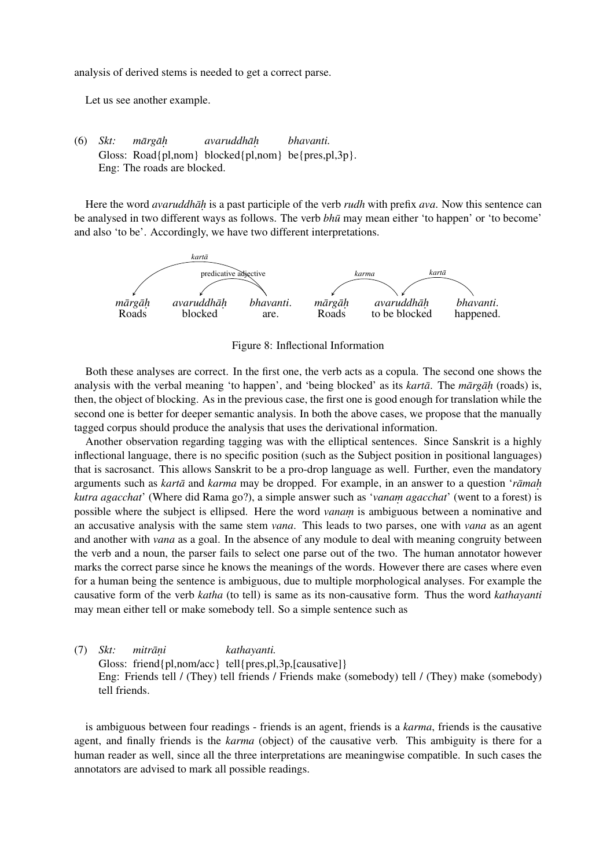analysis of derived stems is needed to get a correct parse.

Let us see another example.

(6) *Skt:* Gloss: Road{pl,nom} blocked{pl,nom} be{pres,pl,3p}.  $m\bar{a}$ *rg* $\bar{a}$ *h avaruddhah¯. bhavanti.* Eng: The roads are blocked.

Here the word *avaruddhah* is a past participle of the verb *rudh* with prefix *ava*. Now this sentence can be analysed in two different ways as follows. The verb *bhū* may mean either 'to happen' or 'to become' and also 'to be'. Accordingly, we have two different interpretations.



Figure 8: Inflectional Information

Both these analyses are correct. In the first one, the verb acts as a copula. The second one shows the analysis with the verbal meaning 'to happen', and 'being blocked' as its *kartā*. The *mārgāh* (roads) is, then, the object of blocking. As in the previous case, the first one is good enough for translation while the second one is better for deeper semantic analysis. In both the above cases, we propose that the manually tagged corpus should produce the analysis that uses the derivational information.

Another observation regarding tagging was with the elliptical sentences. Since Sanskrit is a highly inflectional language, there is no specific position (such as the Subject position in positional languages) that is sacrosanct. This allows Sanskrit to be a pro-drop language as well. Further, even the mandatory arguments such as *karta* and *karma* may be dropped. For example, in an answer to a question '*ramah kutra agacchat*' (Where did Rama go?), a simple answer such as '*vanam. agacchat*' (went to a forest) is possible where the subject is ellipsed. Here the word *vanam* is ambiguous between a nominative and an accusative analysis with the same stem *vana*. This leads to two parses, one with *vana* as an agent and another with *vana* as a goal. In the absence of any module to deal with meaning congruity between the verb and a noun, the parser fails to select one parse out of the two. The human annotator however marks the correct parse since he knows the meanings of the words. However there are cases where even for a human being the sentence is ambiguous, due to multiple morphological analyses. For example the causative form of the verb *katha* (to tell) is same as its non-causative form. Thus the word *kathayanti* may mean either tell or make somebody tell. So a simple sentence such as

(7) *Skt:* Gloss: friend{pl,nom/acc} tell{pres,pl,3p,[causative]} *mitran¯. i kathayanti.* Eng: Friends tell / (They) tell friends / Friends make (somebody) tell / (They) make (somebody) tell friends.

is ambiguous between four readings - friends is an agent, friends is a *karma*, friends is the causative agent, and finally friends is the *karma* (object) of the causative verb. This ambiguity is there for a human reader as well, since all the three interpretations are meaningwise compatible. In such cases the annotators are advised to mark all possible readings.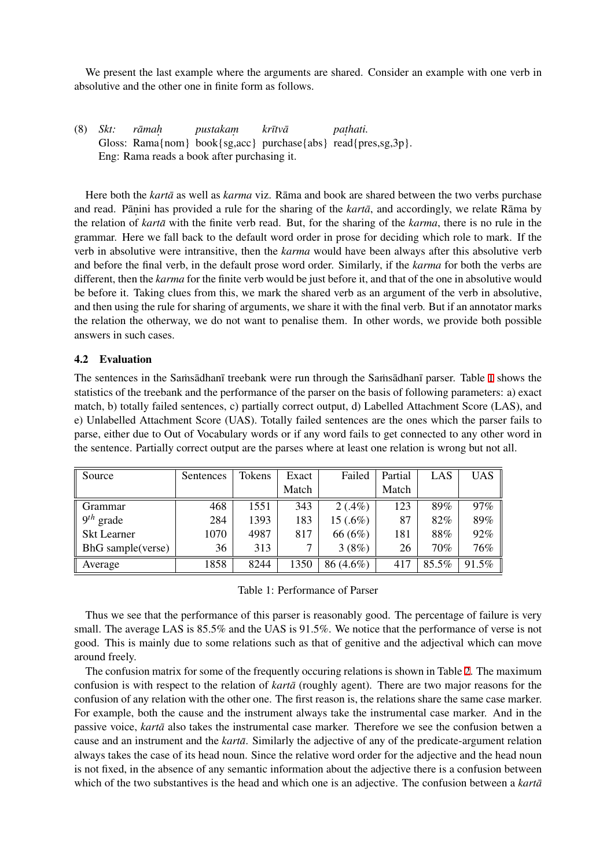We present the last example where the arguments are shared. Consider an example with one verb in absolutive and the other one in finite form as follows.

(8) *Skt:* Gloss: Rama{nom} book{sg,acc} purchase{abs} read{pres,sg,3p}.  $r\bar{a}$  *mah pustakam. kr¯ıtva¯ pat .hati.* Eng: Rama reads a book after purchasing it.

Here both the *karta* as well as *karma* viz. Rama and book are shared between the two verbs purchase and read. Panini has provided a rule for the sharing of the *karta*, and accordingly, we relate Rama by the relation of *karta* with the finite verb read. But, for the sharing of the *karma*, there is no rule in the grammar. Here we fall back to the default word order in prose for deciding which role to mark. If the verb in absolutive were intransitive, then the *karma* would have been always after this absolutive verb and before the final verb, in the default prose word order. Similarly, if the *karma* for both the verbs are different, then the *karma* for the finite verb would be just before it, and that of the one in absolutive would be before it. Taking clues from this, we mark the shared verb as an argument of the verb in absolutive, and then using the rule for sharing of arguments, we share it with the final verb. But if an annotator marks the relation the otherway, we do not want to penalise them. In other words, we provide both possible answers in such cases.

### 4.2 Evaluation

The sentences in the Samsadhan  $\bar{a}$  treebank were run through the Samsadhan parser. Table 1 shows the statistics of the treebank and the performance of the parser on the basis of following parameters: a) exact match, b) totally failed sentences, c) partially correct output, d) Labelled Attachment Score (LAS), and e) Unlabelled Attachment Score (UAS). Totally failed sentences are the ones which the parser fails to parse, either due to Out of Vocabulary words or if any word fails to get connected to any o[th](#page-9-0)er word in the sentence. Partially correct output are the parses where at least one relation is wrong but not all.

| Source             | Sentences | Tokens | Exact | Failed     | Partial | LAS   | <b>UAS</b> |
|--------------------|-----------|--------|-------|------------|---------|-------|------------|
|                    |           |        | Match |            | Match   |       |            |
| Grammar            | 468       | 1551   | 343   | $2(.4\%)$  | 123     | 89%   | 97%        |
| $9^{th}$<br>grade  | 284       | 1393   | 183   | $15(.6\%)$ | 87      | 82%   | 89%        |
| <b>Skt Learner</b> | 1070      | 4987   | 817   | 66 (6%)    | 181     | 88%   | 92%        |
| BhG sample(verse)  | 36        | 313    |       | 3(8%)      | 26      | 70%   | 76%        |
| Average            | 1858      | 8244   | 1350  | 86 (4.6%)  | 417     | 85.5% | 91.5%      |

<span id="page-9-0"></span>Table 1: Performance of Parser

Thus we see that the performance of this parser is reasonably good. The percentage of failure is very small. The average LAS is 85.5% and the UAS is 91.5%. We notice that the performance of verse is not good. This is mainly due to some relations such as that of genitive and the adjectival which can move around freely.

The confusion matrix for some of the frequently occuring relations is shown in Table 2. The maximum confusion is with respect to the relation of *karta* (roughly agent). There are two major reasons for the confusion of any relation with the other one. The first reason is, the relations share the same case marker. For example, both the cause and the instrument always take the instrumental case marker. And in the passive voice, *kartā* also takes the instrumental case marker. Therefore we see the co[nf](#page-10-4)usion betwen a cause and an instrument and the *karta*. Similarly the adjective of any of the predicate-argument relation always takes the case of its head noun. Since the relative word order for the adjective and the head noun is not fixed, in the absence of any semantic information about the adjective there is a confusion between which of the two substantives is the head and which one is an adjective. The confusion between a *karta*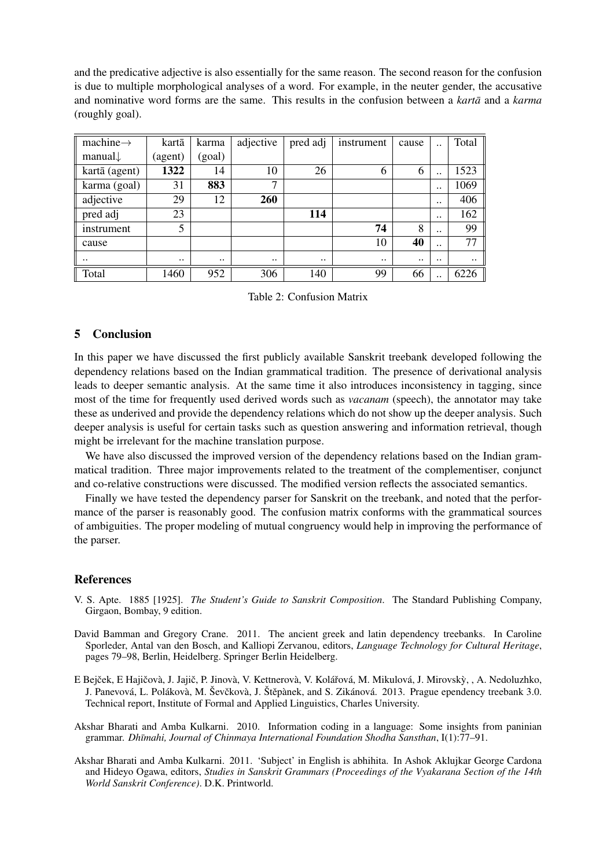and the predicative adjective is also essentially for the same reason. The second reason for the confusion is due to multiple morphological analyses of a word. For example, in the neuter gender, the accusative and nominative word forms are the same. This results in the confusion between a *karta* and a *karma* (roughly goal).

| machine $\rightarrow$ | kartā     | karma     | adjective            | pred adj  | instrument | cause     | $\ddot{\phantom{0}}$ | Total     |
|-----------------------|-----------|-----------|----------------------|-----------|------------|-----------|----------------------|-----------|
| manual $\downarrow$   | (agent)   | (goal)    |                      |           |            |           |                      |           |
| kartā (agent)         | 1322      | 14        | 10                   | 26        | 6          | 6         | $\ddot{\phantom{0}}$ | 1523      |
| karma (goal)          | 31        | 883       | 7                    |           |            |           | $\ddot{\phantom{0}}$ | 1069      |
| adjective             | 29        | 12        | 260                  |           |            |           |                      | 406       |
| pred adj              | 23        |           |                      | 114       |            |           |                      | 162       |
| instrument            | 5         |           |                      |           | 74         | 8         | $\ddot{\phantom{0}}$ | 99        |
| cause                 |           |           |                      |           | 10         | 40        | $\ddot{\phantom{0}}$ | 77        |
| $\ddotsc$             | $\ddotsc$ | $\ddotsc$ | $\ddot{\phantom{0}}$ | $\ddotsc$ | $\ddotsc$  | $\ddotsc$ | $\ddotsc$            | $\ddotsc$ |
| Total                 | 1460      | 952       | 306                  | 140       | 99         | 66        | $\cdot$ $\cdot$      | 6226      |

<span id="page-10-4"></span>Table 2: Confusion Matrix

### 5 Conclusion

In this paper we have discussed the first publicly available Sanskrit treebank developed following the dependency relations based on the Indian grammatical tradition. The presence of derivational analysis leads to deeper semantic analysis. At the same time it also introduces inconsistency in tagging, since most of the time for frequently used derived words such as *vacanam* (speech), the annotator may take these as underived and provide the dependency relations which do not show up the deeper analysis. Such deeper analysis is useful for certain tasks such as question answering and information retrieval, though might be irrelevant for the machine translation purpose.

We have also discussed the improved version of the dependency relations based on the Indian grammatical tradition. Three major improvements related to the treatment of the complementiser, conjunct and co-relative constructions were discussed. The modified version reflects the associated semantics.

Finally we have tested the dependency parser for Sanskrit on the treebank, and noted that the performance of the parser is reasonably good. The confusion matrix conforms with the grammatical sources of ambiguities. The proper modeling of mutual congruency would help in improving the performance of the parser.

### References

- V. S. Apte. 1885 [1925]. *The Student's Guide to Sanskrit Composition*. The Standard Publishing Company, Girgaon, Bombay, 9 edition.
- <span id="page-10-2"></span>David Bamman and Gregory Crane. 2011. The ancient greek and latin dependency treebanks. In Caroline Sporleder, Antal van den Bosch, and Kalliopi Zervanou, editors, *Language Technology for Cultural Heritage*, pages 79–98, Berlin, Heidelberg. Springer Berlin Heidelberg.
- <span id="page-10-0"></span>E Bejček, E Hajičovà, J. Jajič, P. Jinovà, V. Kettnerovà, V. Kolářová, M. Mikulová, J. Mirovský, , A. Nedoluzhko, J. Panevová, L. Polákovà, M. Ševčkovà, J. Štěpànek, and S. Zikánová. 2013. Prague ependency treebank 3.0. Technical report, Institute of Formal and Applied Linguistics, Charles University.
- <span id="page-10-3"></span>Akshar Bharati and Amba Kulkarni. 2010. Information coding in a language: Some insights from paninian grammar. *Dhūmahi, Journal of Chinmaya International Foundation Shodha Sansthan*, I(1):77-91.
- <span id="page-10-1"></span>Akshar Bharati and Amba Kulkarni. 2011. 'Subject' in English is abhihita. In Ashok Aklujkar George Cardona and Hideyo Ogawa, editors, *Studies in Sanskrit Grammars (Proceedings of the Vyakarana Section of the 14th World Sanskrit Conference)*. D.K. Printworld.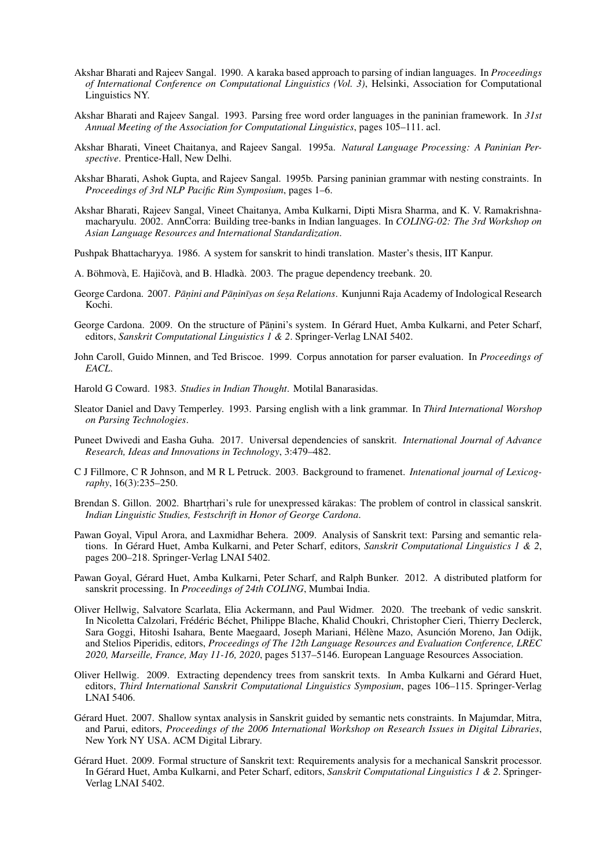- Akshar Bharati and Rajeev Sangal. 1990. A karaka based approach to parsing of indian languages. In *Proceedings of International Conference on Computational Linguistics (Vol. 3)*, Helsinki, Association for Computational Linguistics NY.
- Akshar Bharati and Rajeev Sangal. 1993. Parsing free word order languages in the paninian framework. In *31st Annual Meeting of the Association for Computational Linguistics*, pages 105–111. acl.
- Akshar Bharati, Vineet Chaitanya, and Rajeev Sangal. 1995a. *Natural Language Processing: A Paninian Perspective*. Prentice-Hall, New Delhi.
- Akshar Bharati, Ashok Gupta, and Rajeev Sangal. 1995b. Parsing paninian grammar with nesting constraints. In *Proceedings of 3rd NLP Pacific Rim Symposium*, pages 1–6.
- <span id="page-11-3"></span>Akshar Bharati, Rajeev Sangal, Vineet Chaitanya, Amba Kulkarni, Dipti Misra Sharma, and K. V. Ramakrishnamacharyulu. 2002. AnnCorra: Building tree-banks in Indian languages. In *COLING-02: The 3rd Workshop on Asian Language Resources and International Standardization*.
- <span id="page-11-5"></span>Pushpak Bhattacharyya. 1986. A system for sanskrit to hindi translation. Master's thesis, IIT Kanpur.
- <span id="page-11-2"></span>A. Böhmovà, E. Hajičovà, and B. Hladkà. 2003. The prague dependency treebank. 20.
- George Cardona. 2007. Pānini and Pāṇinīyas on śeṣa Relations. Kunjunni Raja Academy of Indological Research Kochi.
- George Cardona. 2009. On the structure of Pāṇini's system. In Gérard Huet, Amba Kulkarni, and Peter Scharf, editors, *Sanskrit Computational Linguistics 1 & 2*. Springer-Verlag LNAI 5402.
- <span id="page-11-1"></span>John Caroll, Guido Minnen, and Ted Briscoe. 1999. Corpus annotation for parser evaluation. In *Proceedings of EACL*.
- Harold G Coward. 1983. *Studies in Indian Thought*. Motilal Banarasidas.
- <span id="page-11-0"></span>Sleator Daniel and Davy Temperley. 1993. Parsing english with a link grammar. In *Third International Worshop on Parsing Technologies*.
- <span id="page-11-8"></span>Puneet Dwivedi and Easha Guha. 2017. Universal dependencies of sanskrit. *International Journal of Advance Research, Ideas and Innovations in Technology*, 3:479–482.
- <span id="page-11-4"></span>C J Fillmore, C R Johnson, and M R L Petruck. 2003. Background to framenet. *Intenational journal of Lexicography*, 16(3):235–250.
- Brendan S. Gillon. 2002. Bhartrhari's rule for unexpressed karakas: The problem of control in classical sanskrit. *Indian Linguistic Studies, Festschrift in Honor of George Cardona*.
- Pawan Goyal, Vipul Arora, and Laxmidhar Behera. 2009. Analysis of Sanskrit text: Parsing and semantic relations. In Gérard Huet, Amba Kulkarni, and Peter Scharf, editors, *Sanskrit Computational Linguistics 1 & 2*, pages 200–218. Springer-Verlag LNAI 5402.
- Pawan Goyal, Gérard Huet, Amba Kulkarni, Peter Scharf, and Ralph Bunker. 2012. A distributed platform for sanskrit processing. In *Proceedings of 24th COLING*, Mumbai India.
- <span id="page-11-7"></span>Oliver Hellwig, Salvatore Scarlata, Elia Ackermann, and Paul Widmer. 2020. The treebank of vedic sanskrit. In Nicoletta Calzolari, Frédéric Béchet, Philippe Blache, Khalid Choukri, Christopher Cieri, Thierry Declerck, Sara Goggi, Hitoshi Isahara, Bente Maegaard, Joseph Mariani, Hélène Mazo, Asunción Moreno, Jan Odijk, and Stelios Piperidis, editors, *Proceedings of The 12th Language Resources and Evaluation Conference, LREC 2020, Marseille, France, May 11-16, 2020*, pages 5137–5146. European Language Resources Association.
- Oliver Hellwig. 2009. Extracting dependency trees from sanskrit texts. In Amba Kulkarni and Gérard Huet, editors, *Third International Sanskrit Computational Linguistics Symposium*, pages 106–115. Springer-Verlag LNAI 5406.
- <span id="page-11-6"></span>Gérard Huet. 2007. Shallow syntax analysis in Sanskrit guided by semantic nets constraints. In Majumdar, Mitra, and Parui, editors, *Proceedings of the 2006 International Workshop on Research Issues in Digital Libraries*, New York NY USA. ACM Digital Library.
- Gérard Huet. 2009. Formal structure of Sanskrit text: Requirements analysis for a mechanical Sanskrit processor. In Gérard Huet, Amba Kulkarni, and Peter Scharf, editors, *Sanskrit Computational Linguistics 1 & 2*. Springer-Verlag LNAI 5402.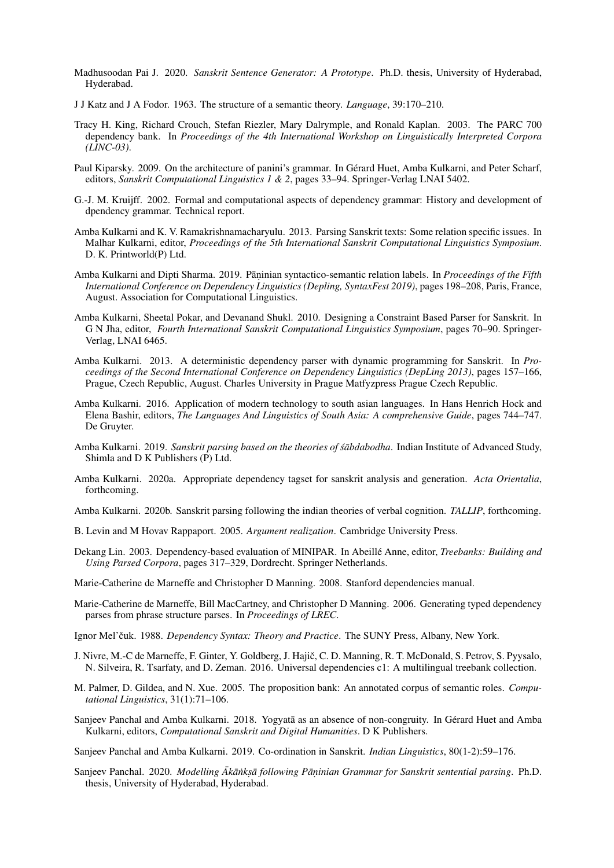- Madhusoodan Pai J. 2020. *Sanskrit Sentence Generator: A Prototype*. Ph.D. thesis, University of Hyderabad, Hyderabad.
- J J Katz and J A Fodor. 1963. The structure of a semantic theory. *Language*, 39:170–210.
- <span id="page-12-1"></span>Tracy H. King, Richard Crouch, Stefan Riezler, Mary Dalrymple, and Ronald Kaplan. 2003. The PARC 700 dependency bank. In *Proceedings of the 4th International Workshop on Linguistically Interpreted Corpora (LINC-03)*.
- Paul Kiparsky. 2009. On the architecture of panini's grammar. In Gérard Huet, Amba Kulkarni, and Peter Scharf, editors, *Sanskrit Computational Linguistics 1 & 2*, pages 33–94. Springer-Verlag LNAI 5402.
- G.-J. M. Kruijff. 2002. Formal and computational aspects of dependency grammar: History and development of dpendency grammar. Technical report.
- <span id="page-12-7"></span>Amba Kulkarni and K. V. Ramakrishnamacharyulu. 2013. Parsing Sanskrit texts: Some relation specific issues. In Malhar Kulkarni, editor, *Proceedings of the 5th International Sanskrit Computational Linguistics Symposium*. D. K. Printworld(P) Ltd.
- Amba Kulkarni and Dipti Sharma. 2019. Pāṇinian syntactico-semantic relation labels. In Proceedings of the Fifth *International Conference on Dependency Linguistics (Depling, SyntaxFest 2019)*, pages 198–208, Paris, France, August. Association for Computational Linguistics.
- Amba Kulkarni, Sheetal Pokar, and Devanand Shukl. 2010. Designing a Constraint Based Parser for Sanskrit. In G N Jha, editor, *Fourth International Sanskrit Computational Linguistics Symposium*, pages 70–90. Springer-Verlag, LNAI 6465.
- Amba Kulkarni. 2013. A deterministic dependency parser with dynamic programming for Sanskrit. In *Proceedings of the Second International Conference on Dependency Linguistics (DepLing 2013)*, pages 157–166, Prague, Czech Republic, August. Charles University in Prague Matfyzpress Prague Czech Republic.
- Amba Kulkarni. 2016. Application of modern technology to south asian languages. In Hans Henrich Hock and Elena Bashir, editors, *The Languages And Linguistics of South Asia: A comprehensive Guide*, pages 744–747. De Gruyter.
- <span id="page-12-9"></span>Amba Kulkarni. 2019. Sanskrit parsing based on the theories of sabdabodha. Indian Institute of Advanced Study, Shimla and D K Publishers (P) Ltd.
- Amba Kulkarni. 2020a. Appropriate dependency tagset for sanskrit analysis and generation. *Acta Orientalia*, forthcoming.
- Amba Kulkarni. 2020b. Sanskrit parsing following the indian theories of verbal cognition. *TALLIP*, forthcoming.
- <span id="page-12-5"></span>B. Levin and M Hovav Rappaport. 2005. *Argument realization*. Cambridge University Press.
- <span id="page-12-0"></span>Dekang Lin. 2003. Dependency-based evaluation of MINIPAR. In Abeillé Anne, editor, *Treebanks: Building and Using Parsed Corpora*, pages 317–329, Dordrecht. Springer Netherlands.
- <span id="page-12-4"></span>Marie-Catherine de Marneffe and Christopher D Manning. 2008. Stanford dependencies manual.
- <span id="page-12-2"></span>Marie-Catherine de Marneffe, Bill MacCartney, and Christopher D Manning. 2006. Generating typed dependency parses from phrase structure parses. In *Proceedings of LREC*.
- Ignor Mel'čuk. 1988. *Dependency Syntax: Theory and Practice*. The SUNY Press, Albany, New York.
- <span id="page-12-3"></span>J. Nivre, M.-C de Marneffe, F. Ginter, Y. Goldberg, J. Hajič, C. D. Manning, R. T. McDonald, S. Petrov, S. Pyysalo, N. Silveira, R. Tsarfaty, and D. Zeman. 2016. Universal dependencies c1: A multilingual treebank collection.
- <span id="page-12-6"></span>M. Palmer, D. Gildea, and N. Xue. 2005. The proposition bank: An annotated corpus of semantic roles. *Computational Linguistics*, 31(1):71–106.
- Sanjeev Panchal and Amba Kulkarni. 2018. Yogyatā as an absence of non-congruity. In Gérard Huet and Amba Kulkarni, editors, *Computational Sanskrit and Digital Humanities*. D K Publishers.

<span id="page-12-8"></span>Sanjeev Panchal and Amba Kulkarni. 2019. Co-ordination in Sanskrit. *Indian Linguistics*, 80(1-2):59–176.

Sanjeev Panchal. 2020. *Modelling Ak¯ a¯nks ˙ . a following P ¯ an¯. inian Grammar for Sanskrit sentential parsing*. Ph.D. thesis, University of Hyderabad, Hyderabad.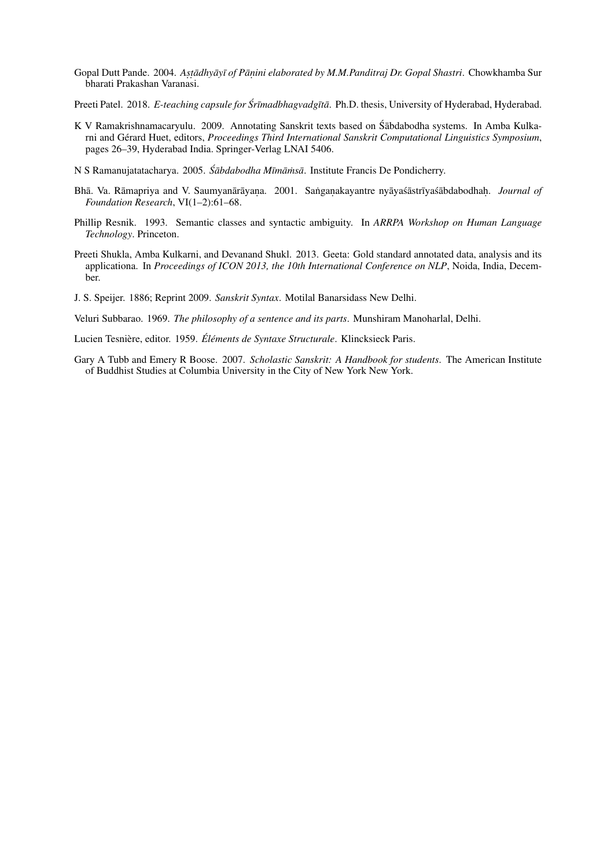- Gopal Dutt Pande. 2004. Astādhyāyī of Pānini elaborated by M.M.Panditraj Dr. Gopal Shastri. Chowkhamba Sur bharati Prakashan Varanasi.
- <span id="page-13-1"></span>Preeti Patel. 2018. *E-teaching capsule for Śrīmadbhagvadgītā*. Ph.D. thesis, University of Hyderabad, Hyderabad.
- <span id="page-13-0"></span>K V Ramakrishnamacaryulu. 2009. Annotating Sanskrit texts based on Śābdabodha systems. In Amba Kulkarni and Gérard Huet, editors, *Proceedings Third International Sanskrit Computational Linguistics Symposium*, pages 26–39, Hyderabad India. Springer-Verlag LNAI 5406.
- N S Ramanujatatacharya. 2005. *Śābdabodha Mīmāmsā*. Institute Francis De Pondicherry.
- Bhā. Va. Rāmapriya and V. Saumyanārāyana. 2001. Sanganakayantre nyāya sāstrīya sābdabodhah. *Journal of Foundation Research*, VI(1–2):61–68.
- Phillip Resnik. 1993. Semantic classes and syntactic ambiguity. In *ARRPA Workshop on Human Language Technology*. Princeton.
- Preeti Shukla, Amba Kulkarni, and Devanand Shukl. 2013. Geeta: Gold standard annotated data, analysis and its applicationa. In *Proceedings of ICON 2013, the 10th International Conference on NLP*, Noida, India, December.
- J. S. Speijer. 1886; Reprint 2009. *Sanskrit Syntax*. Motilal Banarsidass New Delhi.

Veluri Subbarao. 1969. *The philosophy of a sentence and its parts*. Munshiram Manoharlal, Delhi.

Lucien Tesnière, editor. 1959. *Éléments de Syntaxe Structurale*. Klincksieck Paris.

Gary A Tubb and Emery R Boose. 2007. *Scholastic Sanskrit: A Handbook for students*. The American Institute of Buddhist Studies at Columbia University in the City of New York New York.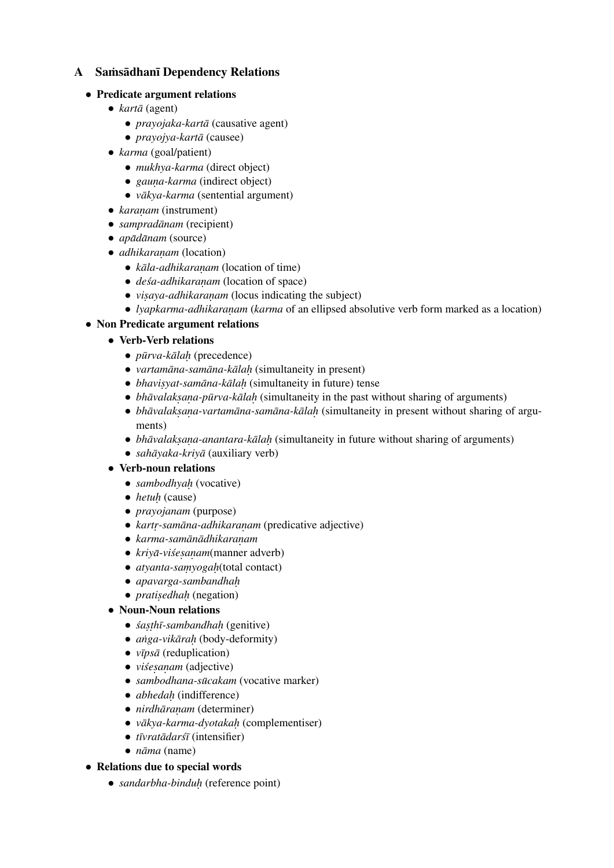# A Samsadhani Dependency Relations

### *•* Predicate argument relations

- *kartā* (agent)
	- *prayojaka-kartā* (causative agent)
	- *prayojya-kartā* (causee)
- *• karma* (goal/patient)
	- *mukhya-karma* (direct object)
	- *gauna-karma* (indirect object)
	- *vākya-karma* (sentential argument)
- *karanam* (instrument)
- *sampradānam* (recipient)
- *apādānam* (source)
- *adhikaranam* (location)
	- *kāla-adhikaranam* (location of time)
	- *deśa-adhikaranam* (location of space)
	- *visaya-adhikaranam* (locus indicating the subject)
	- *lyapkarma-adhikaranam* (*karma* of an ellipsed absolutive verb form marked as a location)

## *•* Non Predicate argument relations

- *•* Verb-Verb relations
	- *pūrva-kālaḥ* (precedence)
	- *vartamāna-samāna-kālah* (simultaneity in present)
	- *bhavisyat-samāna-kālah* (simultaneity in future) tense
	- *bhāvalaksana-pūrva-kālah* (simultaneity in the past without sharing of arguments)
	- **•** *bhāvalaksana-vartamāna-samāna-kālah* (simultaneity in present without sharing of arguments)
	- *bhāvalakṣana-anantara-kālah* (simultaneity in future without sharing of arguments)
	- *sahāyaka-kriyā* (auxiliary verb)

### *•* Verb-noun relations

- *sambodhyah* (vocative)
- *• hetuh.* (cause)
- *• prayojanam* (purpose)
- **•** *kartr-samāna-adhikaranam* (predicative adjective)
- **•** *karma-samānādhikaranam*
- *kriyā-viśesanam*(manner adverb)
- *atyanta-samyogah*(total contact)
- *• apavarga-sambandhah.*
- *pratisedhah* (negation)

## *•* Noun-Noun relations

- *śasthī-sambandhah* (genitive)
- *anga-vikārah* (body-deformity)
- *vīpsā* (reduplication)
- *visesanam* (adjective)
- *sambodhana-sūcakam* (vocative marker)
- *abhedah* (indifference)
- *nirdhāranam* (determiner)
- *vākya-karma-dyotakah* (complementiser)
- *tīvratādarśī* (intensifier)
- *nāma* (name)

## *•* Relations due to special words

*• sandarbha-binduh.* (reference point)